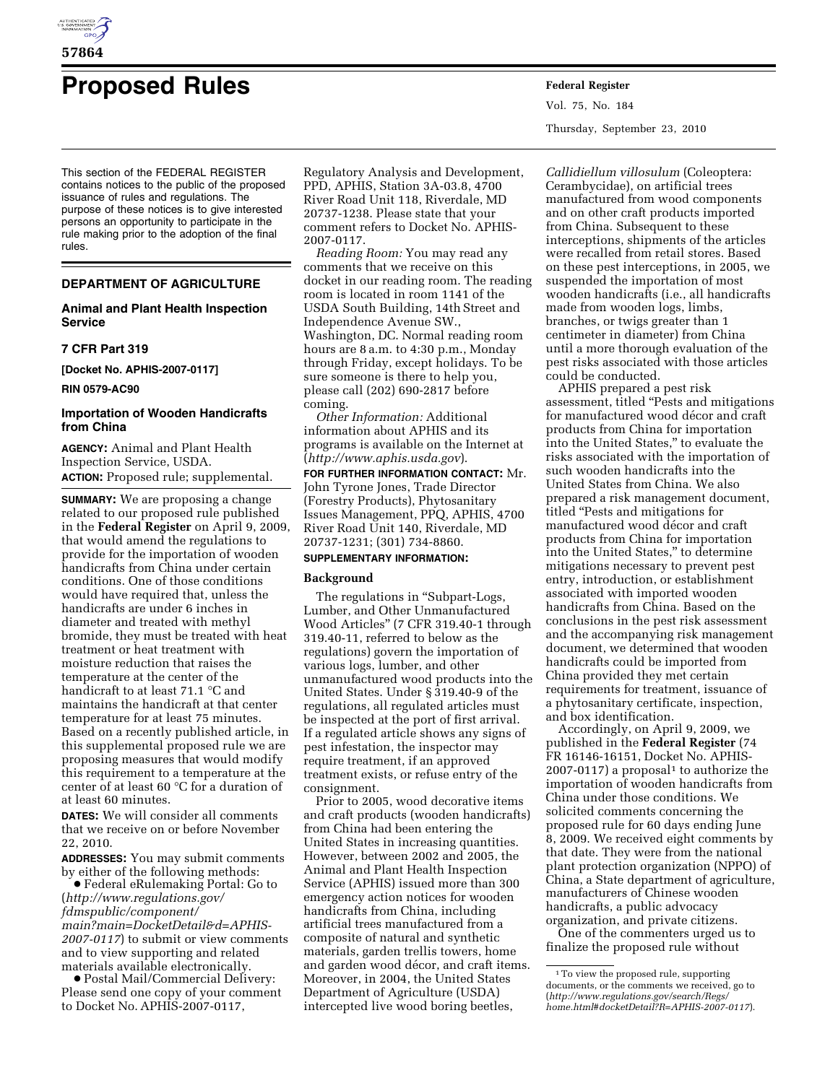

# **Proposed Rules Federal Register**

This section of the FEDERAL REGISTER contains notices to the public of the proposed issuance of rules and regulations. The purpose of these notices is to give interested persons an opportunity to participate in the rule making prior to the adoption of the final rules.

# **DEPARTMENT OF AGRICULTURE**

## **Animal and Plant Health Inspection Service**

#### **7 CFR Part 319**

**[Docket No. APHIS-2007-0117]** 

**RIN 0579-AC90** 

# **Importation of Wooden Handicrafts from China**

**AGENCY:** Animal and Plant Health Inspection Service, USDA. **ACTION:** Proposed rule; supplemental.

**SUMMARY:** We are proposing a change related to our proposed rule published in the **Federal Register** on April 9, 2009, that would amend the regulations to provide for the importation of wooden handicrafts from China under certain conditions. One of those conditions would have required that, unless the handicrafts are under 6 inches in diameter and treated with methyl bromide, they must be treated with heat treatment or heat treatment with moisture reduction that raises the temperature at the center of the handicraft to at least 71.1 °C and maintains the handicraft at that center temperature for at least 75 minutes. Based on a recently published article, in this supplemental proposed rule we are proposing measures that would modify this requirement to a temperature at the center of at least 60 °C for a duration of at least 60 minutes.

**DATES:** We will consider all comments that we receive on or before November 22, 2010.

**ADDRESSES:** You may submit comments by either of the following methods:

∑ Federal eRulemaking Portal: Go to (*[http://www.regulations.gov/](http://www.regulations.gov/fdmspublic/component/main?main=DocketDetail&d=APHIS-2007-0117)  [fdmspublic/component/](http://www.regulations.gov/fdmspublic/component/main?main=DocketDetail&d=APHIS-2007-0117) [main?main=DocketDetail&d=APHIS-](http://www.regulations.gov/fdmspublic/component/main?main=DocketDetail&d=APHIS-2007-0117)[2007-0117](http://www.regulations.gov/fdmspublic/component/main?main=DocketDetail&d=APHIS-2007-0117)*) to submit or view comments and to view supporting and related materials available electronically.

∑ Postal Mail/Commercial Delivery: Please send one copy of your comment to Docket No. APHIS-2007-0117,

Regulatory Analysis and Development, PPD, APHIS, Station 3A-03.8, 4700 River Road Unit 118, Riverdale, MD 20737-1238. Please state that your comment refers to Docket No. APHIS-2007-0117.

*Reading Room:* You may read any comments that we receive on this docket in our reading room. The reading room is located in room 1141 of the USDA South Building, 14th Street and Independence Avenue SW., Washington, DC. Normal reading room hours are 8 a.m. to 4:30 p.m., Monday through Friday, except holidays. To be sure someone is there to help you, please call (202) 690-2817 before coming.

*Other Information:* Additional information about APHIS and its programs is available on the Internet at (*<http://www.aphis.usda.gov>*).

**FOR FURTHER INFORMATION CONTACT:** Mr. John Tyrone Jones, Trade Director (Forestry Products), Phytosanitary Issues Management, PPQ, APHIS, 4700 River Road Unit 140, Riverdale, MD 20737-1231; (301) 734-8860.

## **SUPPLEMENTARY INFORMATION:**

#### **Background**

The regulations in "Subpart-Logs, Lumber, and Other Unmanufactured Wood Articles'' (7 CFR 319.40-1 through 319.40-11, referred to below as the regulations) govern the importation of various logs, lumber, and other unmanufactured wood products into the United States. Under § 319.40-9 of the regulations, all regulated articles must be inspected at the port of first arrival. If a regulated article shows any signs of pest infestation, the inspector may require treatment, if an approved treatment exists, or refuse entry of the consignment.

Prior to 2005, wood decorative items and craft products (wooden handicrafts) from China had been entering the United States in increasing quantities. However, between 2002 and 2005, the Animal and Plant Health Inspection Service (APHIS) issued more than 300 emergency action notices for wooden handicrafts from China, including artificial trees manufactured from a composite of natural and synthetic materials, garden trellis towers, home and garden wood décor, and craft items. Moreover, in 2004, the United States Department of Agriculture (USDA) intercepted live wood boring beetles,

Vol. 75, No. 184 Thursday, September 23, 2010

*Callidiellum villosulum* (Coleoptera: Cerambycidae), on artificial trees manufactured from wood components and on other craft products imported from China. Subsequent to these interceptions, shipments of the articles were recalled from retail stores. Based on these pest interceptions, in 2005, we suspended the importation of most wooden handicrafts (i.e., all handicrafts made from wooden logs, limbs, branches, or twigs greater than 1 centimeter in diameter) from China until a more thorough evaluation of the pest risks associated with those articles could be conducted.

APHIS prepared a pest risk assessment, titled ''Pests and mitigations for manufactured wood décor and craft products from China for importation into the United States,'' to evaluate the risks associated with the importation of such wooden handicrafts into the United States from China. We also prepared a risk management document, titled ''Pests and mitigations for manufactured wood décor and craft products from China for importation into the United States,'' to determine mitigations necessary to prevent pest entry, introduction, or establishment associated with imported wooden handicrafts from China. Based on the conclusions in the pest risk assessment and the accompanying risk management document, we determined that wooden handicrafts could be imported from China provided they met certain requirements for treatment, issuance of a phytosanitary certificate, inspection, and box identification.

Accordingly, on April 9, 2009, we published in the **Federal Register** (74 FR 16146-16151, Docket No. APHIS- $2007-0117$ ) a proposal<sup>1</sup> to authorize the importation of wooden handicrafts from China under those conditions. We solicited comments concerning the proposed rule for 60 days ending June 8, 2009. We received eight comments by that date. They were from the national plant protection organization (NPPO) of China, a State department of agriculture, manufacturers of Chinese wooden handicrafts, a public advocacy organization, and private citizens.

One of the commenters urged us to finalize the proposed rule without

<sup>1</sup>To view the proposed rule, supporting documents, or the comments we received, go to (*[http://www.regulations.gov/search/Regs/](http://www.regulations.gov/search/Regs/home.html#docketDetail?R=APHIS-2007-0117)  [home.html#docketDetail?R=APHIS-2007-0117](http://www.regulations.gov/search/Regs/home.html#docketDetail?R=APHIS-2007-0117)*).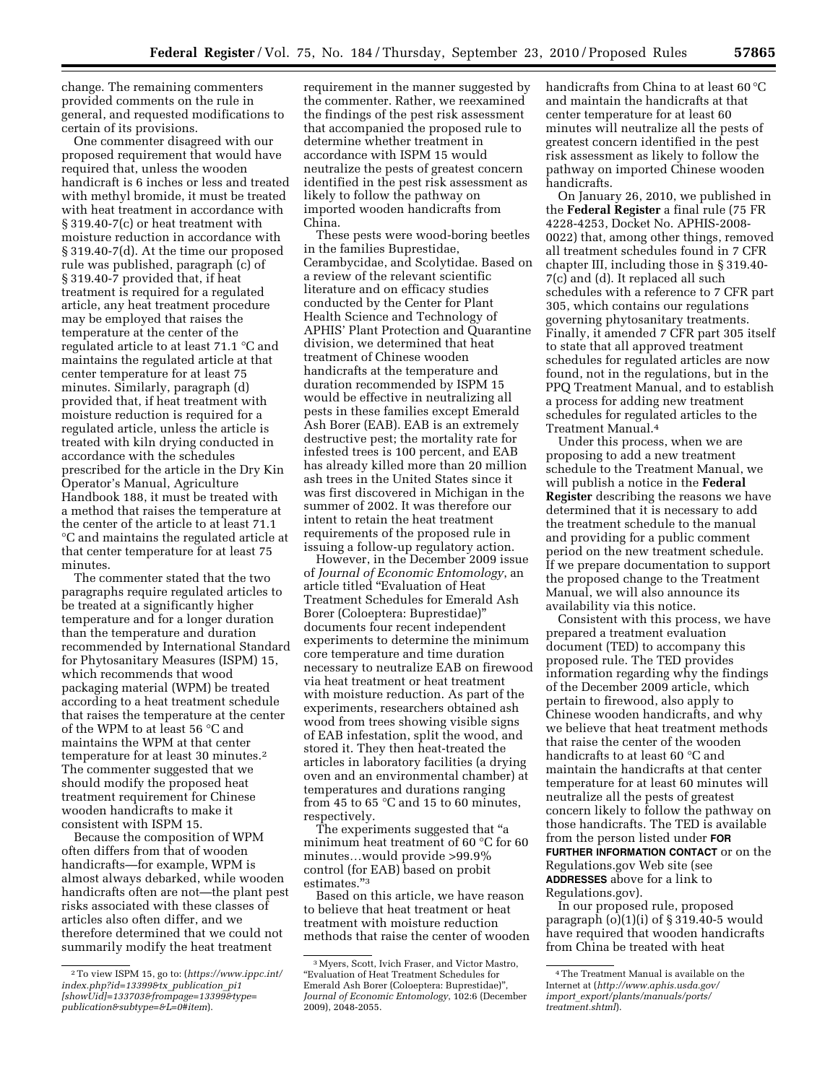change. The remaining commenters provided comments on the rule in general, and requested modifications to certain of its provisions.

One commenter disagreed with our proposed requirement that would have required that, unless the wooden handicraft is 6 inches or less and treated with methyl bromide, it must be treated with heat treatment in accordance with § 319.40-7(c) or heat treatment with moisture reduction in accordance with § 319.40-7(d). At the time our proposed rule was published, paragraph (c) of § 319.40-7 provided that, if heat treatment is required for a regulated article, any heat treatment procedure may be employed that raises the temperature at the center of the regulated article to at least 71.1 °C and maintains the regulated article at that center temperature for at least 75 minutes. Similarly, paragraph (d) provided that, if heat treatment with moisture reduction is required for a regulated article, unless the article is treated with kiln drying conducted in accordance with the schedules prescribed for the article in the Dry Kin Operator's Manual, Agriculture Handbook 188, it must be treated with a method that raises the temperature at the center of the article to at least 71.1 °C and maintains the regulated article at that center temperature for at least 75 minutes.

The commenter stated that the two paragraphs require regulated articles to be treated at a significantly higher temperature and for a longer duration than the temperature and duration recommended by International Standard for Phytosanitary Measures (ISPM) 15, which recommends that wood packaging material (WPM) be treated according to a heat treatment schedule that raises the temperature at the center of the WPM to at least 56 °C and maintains the WPM at that center temperature for at least 30 minutes.2 The commenter suggested that we should modify the proposed heat treatment requirement for Chinese wooden handicrafts to make it consistent with ISPM 15.

Because the composition of WPM often differs from that of wooden handicrafts—for example, WPM is almost always debarked, while wooden handicrafts often are not—the plant pest risks associated with these classes of articles also often differ, and we therefore determined that we could not summarily modify the heat treatment

requirement in the manner suggested by the commenter. Rather, we reexamined the findings of the pest risk assessment that accompanied the proposed rule to determine whether treatment in accordance with ISPM 15 would neutralize the pests of greatest concern identified in the pest risk assessment as likely to follow the pathway on imported wooden handicrafts from China.

These pests were wood-boring beetles in the families Buprestidae, Cerambycidae, and Scolytidae. Based on a review of the relevant scientific literature and on efficacy studies conducted by the Center for Plant Health Science and Technology of APHIS' Plant Protection and Quarantine division, we determined that heat treatment of Chinese wooden handicrafts at the temperature and duration recommended by ISPM 15 would be effective in neutralizing all pests in these families except Emerald Ash Borer (EAB). EAB is an extremely destructive pest; the mortality rate for infested trees is 100 percent, and EAB has already killed more than 20 million ash trees in the United States since it was first discovered in Michigan in the summer of 2002. It was therefore our intent to retain the heat treatment requirements of the proposed rule in issuing a follow-up regulatory action.

However, in the December 2009 issue of *Journal of Economic Entomology*, an article titled ''Evaluation of Heat Treatment Schedules for Emerald Ash Borer (Coloeptera: Buprestidae)'' documents four recent independent experiments to determine the minimum core temperature and time duration necessary to neutralize EAB on firewood via heat treatment or heat treatment with moisture reduction. As part of the experiments, researchers obtained ash wood from trees showing visible signs of EAB infestation, split the wood, and stored it. They then heat-treated the articles in laboratory facilities (a drying oven and an environmental chamber) at temperatures and durations ranging from 45 to 65  $\degree$ C and 15 to 60 minutes, respectively.

The experiments suggested that ''a minimum heat treatment of 60 °C for 60 minutes…would provide >99.9% control (for EAB) based on probit estimates.''3

Based on this article, we have reason to believe that heat treatment or heat treatment with moisture reduction methods that raise the center of wooden handicrafts from China to at least 60 °C and maintain the handicrafts at that center temperature for at least 60 minutes will neutralize all the pests of greatest concern identified in the pest risk assessment as likely to follow the pathway on imported Chinese wooden handicrafts.

On January 26, 2010, we published in the **Federal Register** a final rule (75 FR 4228-4253, Docket No. APHIS-2008- 0022) that, among other things, removed all treatment schedules found in 7 CFR chapter III, including those in § 319.40- 7(c) and (d). It replaced all such schedules with a reference to 7 CFR part 305, which contains our regulations governing phytosanitary treatments. Finally, it amended 7 CFR part 305 itself to state that all approved treatment schedules for regulated articles are now found, not in the regulations, but in the PPQ Treatment Manual, and to establish a process for adding new treatment schedules for regulated articles to the Treatment Manual.4

Under this process, when we are proposing to add a new treatment schedule to the Treatment Manual, we will publish a notice in the **Federal Register** describing the reasons we have determined that it is necessary to add the treatment schedule to the manual and providing for a public comment period on the new treatment schedule. If we prepare documentation to support the proposed change to the Treatment Manual, we will also announce its availability via this notice.

Consistent with this process, we have prepared a treatment evaluation document (TED) to accompany this proposed rule. The TED provides information regarding why the findings of the December 2009 article, which pertain to firewood, also apply to Chinese wooden handicrafts, and why we believe that heat treatment methods that raise the center of the wooden handicrafts to at least 60 °C and maintain the handicrafts at that center temperature for at least 60 minutes will neutralize all the pests of greatest concern likely to follow the pathway on those handicrafts. The TED is available from the person listed under **FOR FURTHER INFORMATION CONTACT** or on the Regulations.gov Web site (see **ADDRESSES** above for a link to Regulations.gov).

In our proposed rule, proposed paragraph  $(o)(1)(i)$  of § 319.40-5 would have required that wooden handicrafts from China be treated with heat

<sup>2</sup>To view ISPM 15, go to: (*https://www.ippc.int/ index.php?id=13399&tx*\_*publication*\_*pi1 [\[showUid\]=133703&frompage=13399&type=](https://www.ippc.int/index.php?id=13399&tx_publication_pi1[showUid]=133703&frompage=13399&type=publication&subtype=&L=0#item)  publication&subtype=&L=0#item*).

<sup>3</sup>Myers, Scott, Ivich Fraser, and Victor Mastro, ''Evaluation of Heat Treatment Schedules for Emerald Ash Borer (Coloeptera: Buprestidae)'', *Journal of Economic Entomology*, 102:6 (December 2009), 2048-2055.

<sup>4</sup>The Treatment Manual is available on the Internet at (*[http://www.aphis.usda.gov/](http://www.aphis.usda.gov/import_export/plants/manuals/ports/treatment.shtml)  import*\_*[export/plants/manuals/ports/](http://www.aphis.usda.gov/import_export/plants/manuals/ports/treatment.shtml)  [treatment.shtml](http://www.aphis.usda.gov/import_export/plants/manuals/ports/treatment.shtml)*).